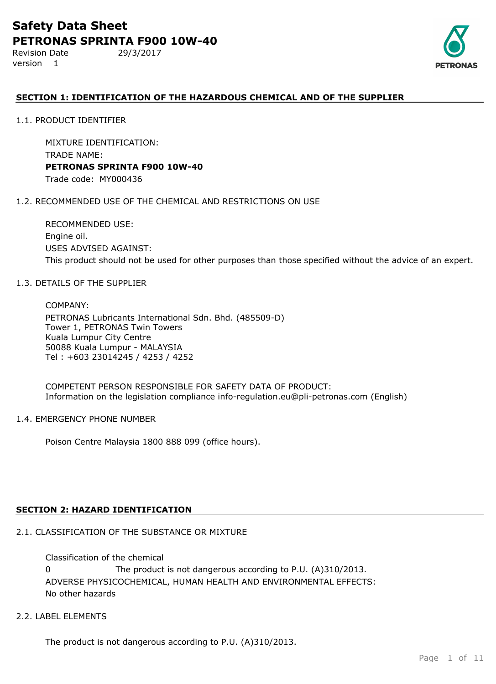Revision Date 29/3/2017 version 1



## **SECTION 1: IDENTIFICATION OF THE HAZARDOUS CHEMICAL AND OF THE SUPPLIER**

1.1. PRODUCT IDENTIFIER

MIXTURE IDENTIFICATION: TRADE NAME: **PETRONAS SPRINTA F900 10W-40** Trade code: MY000436

#### 1.2. RECOMMENDED USE OF THE CHEMICAL AND RESTRICTIONS ON USE

RECOMMENDED USE: Engine oil. USES ADVISED AGAINST: This product should not be used for other purposes than those specified without the advice of an expert.

#### 1.3. DETAILS OF THE SUPPLIER

COMPANY: PETRONAS Lubricants International Sdn. Bhd. (485509-D) Tower 1, PETRONAS Twin Towers Kuala Lumpur City Centre 50088 Kuala Lumpur - MALAYSIA Tel : +603 23014245 / 4253 / 4252

COMPETENT PERSON RESPONSIBLE FOR SAFETY DATA OF PRODUCT: Information on the legislation compliance info-regulation.eu@pli-petronas.com (English)

#### 1.4. EMERGENCY PHONE NUMBER

Poison Centre Malaysia 1800 888 099 (office hours).

#### **SECTION 2: HAZARD IDENTIFICATION**

## 2.1. CLASSIFICATION OF THE SUBSTANCE OR MIXTURE

ADVERSE PHYSICOCHEMICAL, HUMAN HEALTH AND ENVIRONMENTAL EFFECTS: No other hazards Classification of the chemical 0 The product is not dangerous according to P.U. (A)310/2013.

## 2.2. LABEL ELEMENTS

The product is not dangerous according to P.U. (A)310/2013.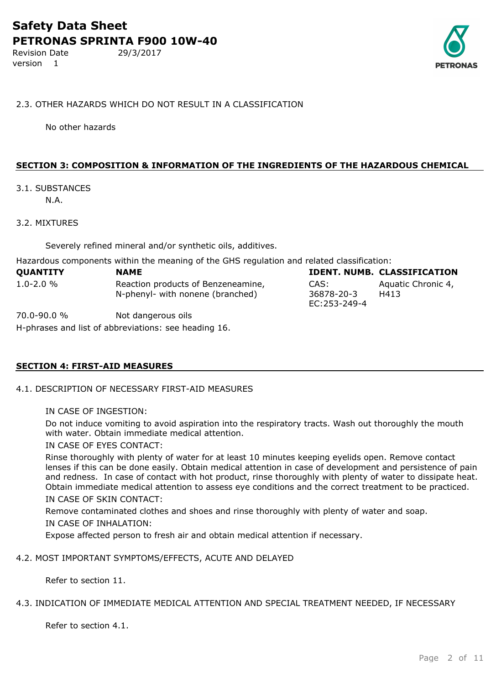Revision Date 29/3/2017 version 1



#### 2.3. OTHER HAZARDS WHICH DO NOT RESULT IN A CLASSIFICATION

No other hazards

#### **SECTION 3: COMPOSITION & INFORMATION OF THE INGREDIENTS OF THE HAZARDOUS CHEMICAL**

## 3.1. SUBSTANCES

N.A.

#### 3.2. MIXTURES

Severely refined mineral and/or synthetic oils, additives.

Hazardous components within the meaning of the GHS regulation and related classification:

| QUANTITY       | <b>NAME</b>                                                            |                                    | <b>IDENT. NUMB. CLASSIFICATION</b> |
|----------------|------------------------------------------------------------------------|------------------------------------|------------------------------------|
| $1.0 - 2.0 \%$ | Reaction products of Benzeneamine,<br>N-phenyl- with nonene (branched) | CAS:<br>36878-20-3<br>EC:253-249-4 | Aquatic Chronic 4,<br>H413         |

70.0-90.0 % Not dangerous oils

H-phrases and list of abbreviations: see heading 16.

#### **SECTION 4: FIRST-AID MEASURES**

4.1. DESCRIPTION OF NECESSARY FIRST-AID MEASURES

Do not induce vomiting to avoid aspiration into the respiratory tracts. Wash out thoroughly the mouth with water. Obtain immediate medical attention.

IN CASE OF EYES CONTACT:

Rinse thoroughly with plenty of water for at least 10 minutes keeping eyelids open. Remove contact lenses if this can be done easily. Obtain medical attention in case of development and persistence of pain and redness. In case of contact with hot product, rinse thoroughly with plenty of water to dissipate heat. Obtain immediate medical attention to assess eye conditions and the correct treatment to be practiced. IN CASE OF SKIN CONTACT:

Remove contaminated clothes and shoes and rinse thoroughly with plenty of water and soap. IN CASE OF INHALATION:

Expose affected person to fresh air and obtain medical attention if necessary.

#### 4.2. MOST IMPORTANT SYMPTOMS/EFFECTS, ACUTE AND DELAYED

Refer to section 11.

#### 4.3. INDICATION OF IMMEDIATE MEDICAL ATTENTION AND SPECIAL TREATMENT NEEDED, IF NECESSARY

Refer to section 4.1.

IN CASE OF INGESTION: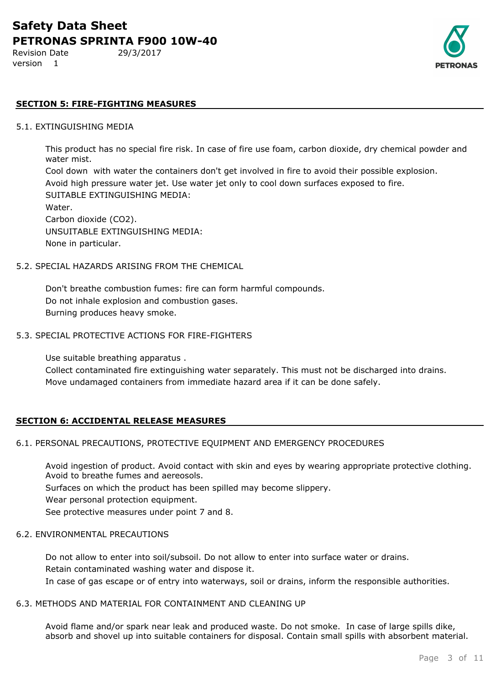Revision Date 29/3/2017 version 1

### **SECTION 5: FIRE-FIGHTING MEASURES**

#### 5.1. EXTINGUISHING MEDIA

This product has no special fire risk. In case of fire use foam, carbon dioxide, dry chemical powder and water mist.

Cool down with water the containers don't get involved in fire to avoid their possible explosion. Avoid high pressure water jet. Use water jet only to cool down surfaces exposed to fire. SUITABLE EXTINGUISHING MEDIA: Water.

Carbon dioxide (CO2). UNSUITABLE EXTINGUISHING MEDIA: None in particular.

#### 5.2. SPECIAL HAZARDS ARISING FROM THE CHEMICAL

Don't breathe combustion fumes: fire can form harmful compounds. Do not inhale explosion and combustion gases. Burning produces heavy smoke.

#### 5.3. SPECIAL PROTECTIVE ACTIONS FOR FIRE-FIGHTERS

Use suitable breathing apparatus .

Collect contaminated fire extinguishing water separately. This must not be discharged into drains. Move undamaged containers from immediate hazard area if it can be done safely.

#### **SECTION 6: ACCIDENTAL RELEASE MEASURES**

#### 6.1. PERSONAL PRECAUTIONS, PROTECTIVE EQUIPMENT AND EMERGENCY PROCEDURES

Avoid ingestion of product. Avoid contact with skin and eyes by wearing appropriate protective clothing. Avoid to breathe fumes and aereosols.

Surfaces on which the product has been spilled may become slippery.

Wear personal protection equipment.

See protective measures under point 7 and 8.

#### 6.2. ENVIRONMENTAL PRECAUTIONS

Do not allow to enter into soil/subsoil. Do not allow to enter into surface water or drains. Retain contaminated washing water and dispose it. In case of gas escape or of entry into waterways, soil or drains, inform the responsible authorities.

#### 6.3. METHODS AND MATERIAL FOR CONTAINMENT AND CLEANING UP

Avoid flame and/or spark near leak and produced waste. Do not smoke. In case of large spills dike, absorb and shovel up into suitable containers for disposal. Contain small spills with absorbent material.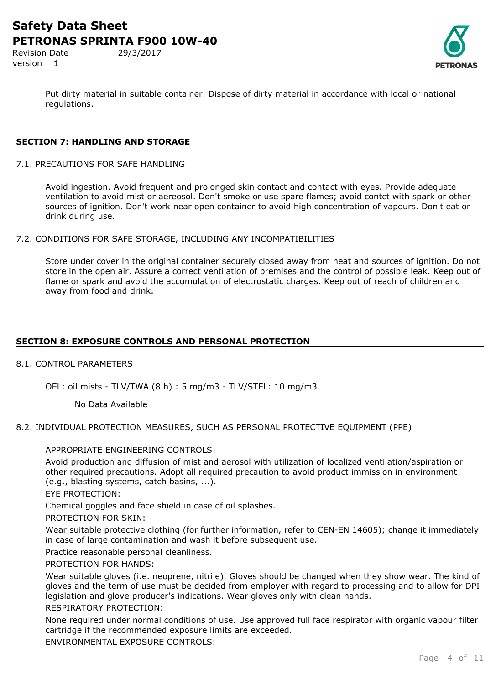Revision Date 29/3/2017 version 1

Put dirty material in suitable container. Dispose of dirty material in accordance with local or national regulations.

## **SECTION 7: HANDLING AND STORAGE**

7.1. PRECAUTIONS FOR SAFE HANDLING

Avoid ingestion. Avoid frequent and prolonged skin contact and contact with eyes. Provide adequate ventilation to avoid mist or aereosol. Don't smoke or use spare flames; avoid contct with spark or other sources of ignition. Don't work near open container to avoid high concentration of vapours. Don't eat or drink during use.

7.2. CONDITIONS FOR SAFE STORAGE, INCLUDING ANY INCOMPATIBILITIES

Store under cover in the original container securely closed away from heat and sources of ignition. Do not store in the open air. Assure a correct ventilation of premises and the control of possible leak. Keep out of flame or spark and avoid the accumulation of electrostatic charges. Keep out of reach of children and away from food and drink.

### **SECTION 8: EXPOSURE CONTROLS AND PERSONAL PROTECTION**

#### 8.1. CONTROL PARAMETERS

OEL: oil mists - TLV/TWA (8 h) : 5 mg/m3 - TLV/STEL: 10 mg/m3

No Data Available

8.2. INDIVIDUAL PROTECTION MEASURES, SUCH AS PERSONAL PROTECTIVE EQUIPMENT (PPE)

#### APPROPRIATE ENGINEERING CONTROLS:

Avoid production and diffusion of mist and aerosol with utilization of localized ventilation/aspiration or other required precautions. Adopt all required precaution to avoid product immission in environment (e.g., blasting systems, catch basins, ...).

EYE PROTECTION:

Chemical goggles and face shield in case of oil splashes.

PROTECTION FOR SKIN:

Wear suitable protective clothing (for further information, refer to CEN-EN 14605); change it immediately in case of large contamination and wash it before subsequent use.

Practice reasonable personal cleanliness.

PROTECTION FOR HANDS:

Wear suitable gloves (i.e. neoprene, nitrile). Gloves should be changed when they show wear. The kind of gloves and the term of use must be decided from employer with regard to processing and to allow for DPI legislation and glove producer's indications. Wear gloves only with clean hands.

#### RESPIRATORY PROTECTION:

None required under normal conditions of use. Use approved full face respirator with organic vapour filter cartridge if the recommended exposure limits are exceeded.

ENVIRONMENTAL EXPOSURE CONTROLS: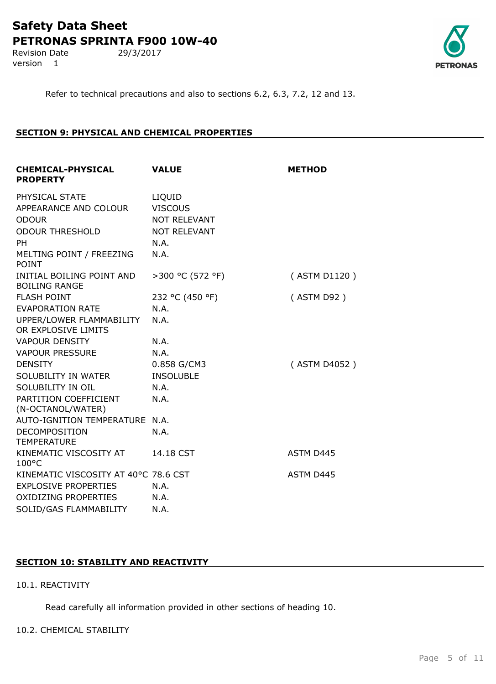Revision Date 29/3/2017 version 1



Refer to technical precautions and also to sections 6.2, 6.3, 7.2, 12 and 13.

## **SECTION 9: PHYSICAL AND CHEMICAL PROPERTIES**

| <b>CHEMICAL-PHYSICAL</b><br><b>PROPERTY</b>       | <b>VALUE</b>        | <b>METHOD</b> |
|---------------------------------------------------|---------------------|---------------|
| PHYSICAL STATE                                    | LIQUID              |               |
| APPEARANCE AND COLOUR                             | <b>VISCOUS</b>      |               |
| <b>ODOUR</b>                                      | <b>NOT RELEVANT</b> |               |
| <b>ODOUR THRESHOLD</b>                            | <b>NOT RELEVANT</b> |               |
| <b>PH</b>                                         | N.A.                |               |
| MELTING POINT / FREEZING<br><b>POINT</b>          | N.A.                |               |
| INITIAL BOILING POINT AND<br><b>BOILING RANGE</b> | >300 °C (572 °F)    | (ASTM D1120)  |
| <b>FLASH POINT</b>                                | 232 °C (450 °F)     | (ASTM D92)    |
| <b>EVAPORATION RATE</b>                           | N.A.                |               |
| UPPER/LOWER FLAMMABILITY                          | N.A.                |               |
| OR EXPLOSIVE LIMITS                               |                     |               |
| <b>VAPOUR DENSITY</b>                             | N.A.                |               |
| <b>VAPOUR PRESSURE</b>                            | N.A.                |               |
| <b>DENSITY</b>                                    | 0.858 G/CM3         | (ASTM D4052)  |
| SOLUBILITY IN WATER                               | <b>INSOLUBLE</b>    |               |
| SOLUBILITY IN OIL                                 | N.A.                |               |
| PARTITION COEFFICIENT<br>(N-OCTANOL/WATER)        | N.A.                |               |
| AUTO-IGNITION TEMPERATURE N.A.                    |                     |               |
| <b>DECOMPOSITION</b><br><b>TEMPERATURE</b>        | N.A.                |               |
| KINEMATIC VISCOSITY AT<br>$100^{\circ}$ C         | 14.18 CST           | ASTM D445     |
| KINEMATIC VISCOSITY AT 40°C 78.6 CST              |                     | ASTM D445     |
| <b>EXPLOSIVE PROPERTIES</b>                       | N.A.                |               |
| <b>OXIDIZING PROPERTIES</b>                       | N.A.                |               |
| SOLID/GAS FLAMMABILITY                            | N.A.                |               |
|                                                   |                     |               |

## **SECTION 10: STABILITY AND REACTIVITY**

## 10.1. REACTIVITY

Read carefully all information provided in other sections of heading 10.

## 10.2. CHEMICAL STABILITY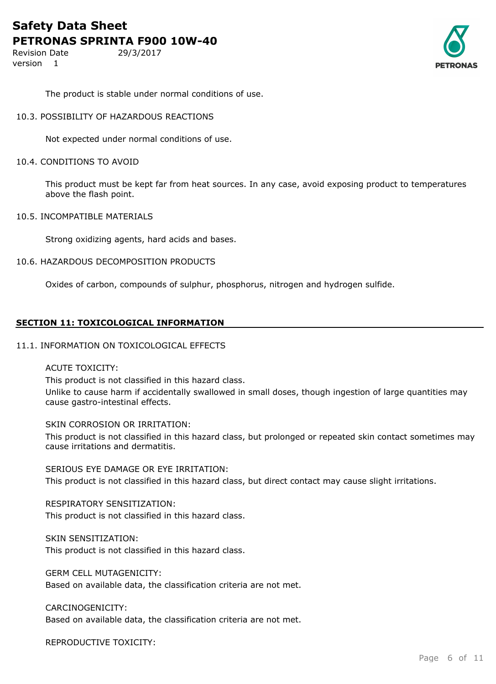Revision Date 29/3/2017 version 1



The product is stable under normal conditions of use.

#### 10.3. POSSIBILITY OF HAZARDOUS REACTIONS

Not expected under normal conditions of use.

#### 10.4. CONDITIONS TO AVOID

This product must be kept far from heat sources. In any case, avoid exposing product to temperatures above the flash point.

#### 10.5. INCOMPATIBLE MATERIALS

Strong oxidizing agents, hard acids and bases.

#### 10.6. HAZARDOUS DECOMPOSITION PRODUCTS

Oxides of carbon, compounds of sulphur, phosphorus, nitrogen and hydrogen sulfide.

#### **SECTION 11: TOXICOLOGICAL INFORMATION**

#### 11.1. INFORMATION ON TOXICOLOGICAL EFFECTS

### ACUTE TOXICITY:

This product is not classified in this hazard class. Unlike to cause harm if accidentally swallowed in small doses, though ingestion of large quantities may cause gastro-intestinal effects.

#### SKIN CORROSION OR IRRITATION:

This product is not classified in this hazard class, but prolonged or repeated skin contact sometimes may cause irritations and dermatitis.

SERIOUS EYE DAMAGE OR EYE IRRITATION:

This product is not classified in this hazard class, but direct contact may cause slight irritations.

RESPIRATORY SENSITIZATION: This product is not classified in this hazard class.

SKIN SENSITIZATION: This product is not classified in this hazard class.

GERM CELL MUTAGENICITY: Based on available data, the classification criteria are not met.

## CARCINOGENICITY:

Based on available data, the classification criteria are not met.

REPRODUCTIVE TOXICITY: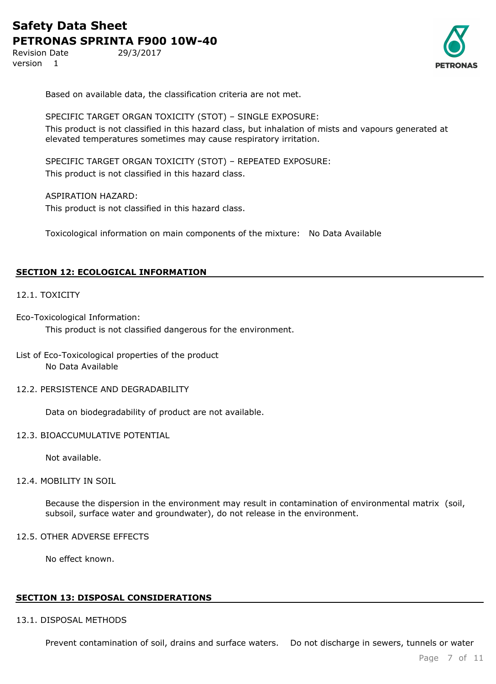Revision Date 29/3/2017 version 1



Based on available data, the classification criteria are not met.

SPECIFIC TARGET ORGAN TOXICITY (STOT) – SINGLE EXPOSURE: This product is not classified in this hazard class, but inhalation of mists and vapours generated at elevated temperatures sometimes may cause respiratory irritation.

SPECIFIC TARGET ORGAN TOXICITY (STOT) – REPEATED EXPOSURE: This product is not classified in this hazard class.

ASPIRATION HAZARD: This product is not classified in this hazard class.

Toxicological information on main components of the mixture: No Data Available

### **SECTION 12: ECOLOGICAL INFORMATION**

#### 12.1. TOXICITY

Eco-Toxicological Information:

This product is not classified dangerous for the environment.

### List of Eco-Toxicological properties of the product No Data Available

#### 12.2. PERSISTENCE AND DEGRADABILITY

Data on biodegradability of product are not available.

#### 12.3. BIOACCUMULATIVE POTENTIAL

Not available.

#### 12.4. MOBILITY IN SOIL

Because the dispersion in the environment may result in contamination of environmental matrix (soil, subsoil, surface water and groundwater), do not release in the environment.

#### 12.5. OTHER ADVERSE EFFECTS

No effect known.

#### **SECTION 13: DISPOSAL CONSIDERATIONS**

#### 13.1. DISPOSAL METHODS

Prevent contamination of soil, drains and surface waters. Do not discharge in sewers, tunnels or water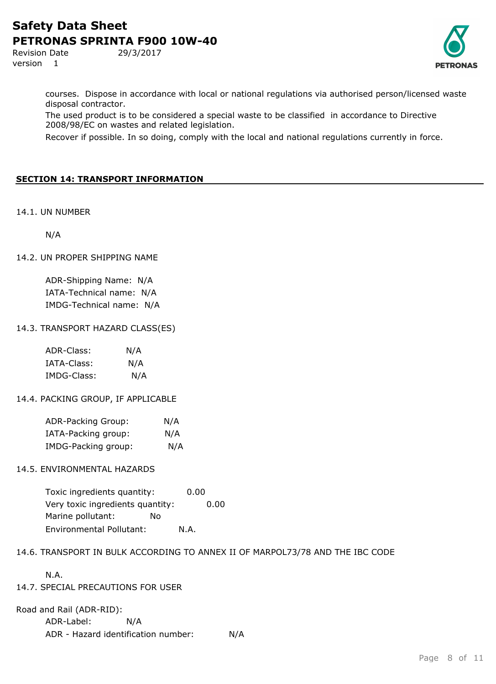Revision Date 29/3/2017 version 1



courses. Dispose in accordance with local or national regulations via authorised person/licensed waste disposal contractor.

The used product is to be considered a special waste to be classified in accordance to Directive 2008/98/EC on wastes and related legislation.

Recover if possible. In so doing, comply with the local and national regulations currently in force.

## **SECTION 14: TRANSPORT INFORMATION**

14.1. UN NUMBER

N/A

### 14.2. UN PROPER SHIPPING NAME

ADR-Shipping Name: N/A IATA-Technical name: N/A IMDG-Technical name: N/A

### 14.3. TRANSPORT HAZARD CLASS(ES)

| ADR-Class:  | N/A |
|-------------|-----|
| IATA-Class: | N/A |
| IMDG-Class: | N/A |

## 14.4. PACKING GROUP, IF APPLICABLE

| ADR-Packing Group:  | N/A |
|---------------------|-----|
| IATA-Packing group: | N/A |
| IMDG-Packing group: | N/A |

## 14.5. ENVIRONMENTAL HAZARDS

Toxic ingredients quantity: 0.00 Very toxic ingredients quantity: 0.00 Marine pollutant: No Environmental Pollutant: N.A.

## 14.6. TRANSPORT IN BULK ACCORDING TO ANNEX II OF MARPOL73/78 AND THE IBC CODE

N.A.

## 14.7. SPECIAL PRECAUTIONS FOR USER

Road and Rail (ADR-RID):

ADR-Label: N/A ADR - Hazard identification number: N/A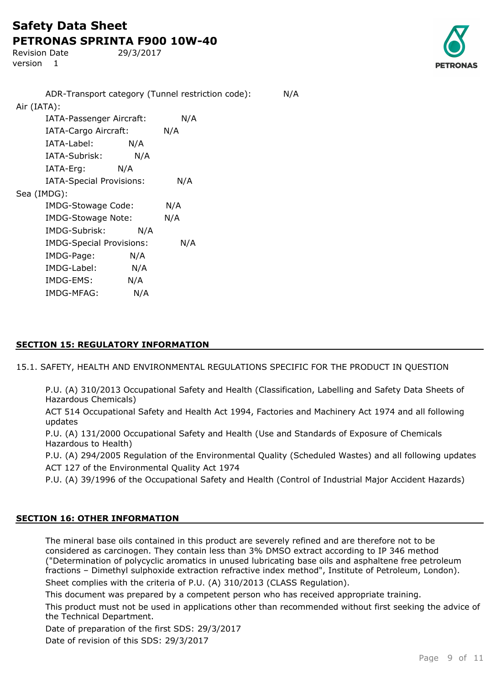Revision Date 29/3/2017 version 1



ADR-Transport category (Tunnel restriction code): N/A Air (IATA): IATA-Passenger Aircraft: N/A IATA-Cargo Aircraft: N/A IATA-Label: N/A IATA-Subrisk: N/A IATA-Erg: N/A IATA-Special Provisions: N/A Sea (IMDG): IMDG-Stowage Code: N/A IMDG-Stowage Note: N/A IMDG-Subrisk: N/A IMDG-Special Provisions: N/A IMDG-Page: N/A IMDG-Label: N/A IMDG-EMS: N/A IMDG-MFAG: N/A

## **SECTION 15: REGULATORY INFORMATION**

15.1. SAFETY, HEALTH AND ENVIRONMENTAL REGULATIONS SPECIFIC FOR THE PRODUCT IN QUESTION

P.U. (A) 310/2013 Occupational Safety and Health (Classification, Labelling and Safety Data Sheets of Hazardous Chemicals)

ACT 514 Occupational Safety and Health Act 1994, Factories and Machinery Act 1974 and all following updates

P.U. (A) 131/2000 Occupational Safety and Health (Use and Standards of Exposure of Chemicals Hazardous to Health)

P.U. (A) 294/2005 Regulation of the Environmental Quality (Scheduled Wastes) and all following updates ACT 127 of the Environmental Quality Act 1974

P.U. (A) 39/1996 of the Occupational Safety and Health (Control of Industrial Major Accident Hazards)

## **SECTION 16: OTHER INFORMATION**

The mineral base oils contained in this product are severely refined and are therefore not to be considered as carcinogen. They contain less than 3% DMSO extract according to IP 346 method ("Determination of polycyclic aromatics in unused lubricating base oils and asphaltene free petroleum fractions – Dimethyl sulphoxide extraction refractive index method", Institute of Petroleum, London). Sheet complies with the criteria of P.U. (A) 310/2013 (CLASS Regulation).

This document was prepared by a competent person who has received appropriate training.

This product must not be used in applications other than recommended without first seeking the advice of the Technical Department.

Date of preparation of the first SDS: 29/3/2017

Date of revision of this SDS: 29/3/2017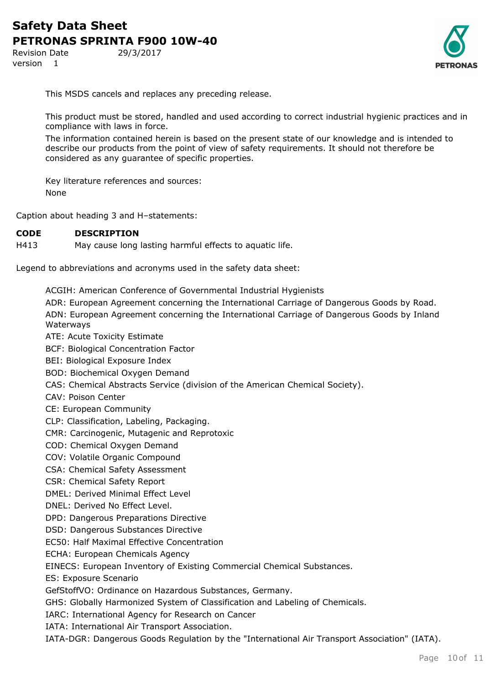Revision Date 29/3/2017 version 1



This MSDS cancels and replaces any preceding release.

This product must be stored, handled and used according to correct industrial hygienic practices and in compliance with laws in force.

The information contained herein is based on the present state of our knowledge and is intended to describe our products from the point of view of safety requirements. It should not therefore be considered as any guarantee of specific properties.

Key literature references and sources: None

Caption about heading 3 and H–statements:

#### **CODE DESCRIPTION**

H413 May cause long lasting harmful effects to aquatic life.

Legend to abbreviations and acronyms used in the safety data sheet:

ACGIH: American Conference of Governmental Industrial Hygienists

ADR: European Agreement concerning the International Carriage of Dangerous Goods by Road. ADN: European Agreement concerning the International Carriage of Dangerous Goods by Inland Waterways

ATE: Acute Toxicity Estimate

BCF: Biological Concentration Factor

BEI: Biological Exposure Index

BOD: Biochemical Oxygen Demand

CAS: Chemical Abstracts Service (division of the American Chemical Society).

CAV: Poison Center

CE: European Community

CLP: Classification, Labeling, Packaging.

CMR: Carcinogenic, Mutagenic and Reprotoxic

COD: Chemical Oxygen Demand

COV: Volatile Organic Compound

CSA: Chemical Safety Assessment

CSR: Chemical Safety Report

DMEL: Derived Minimal Effect Level

DNEL: Derived No Effect Level.

DPD: Dangerous Preparations Directive

DSD: Dangerous Substances Directive

EC50: Half Maximal Effective Concentration

ECHA: European Chemicals Agency

EINECS: European Inventory of Existing Commercial Chemical Substances.

ES: Exposure Scenario

GefStoffVO: Ordinance on Hazardous Substances, Germany.

GHS: Globally Harmonized System of Classification and Labeling of Chemicals.

IARC: International Agency for Research on Cancer

IATA: International Air Transport Association.

IATA-DGR: Dangerous Goods Regulation by the "International Air Transport Association" (IATA).